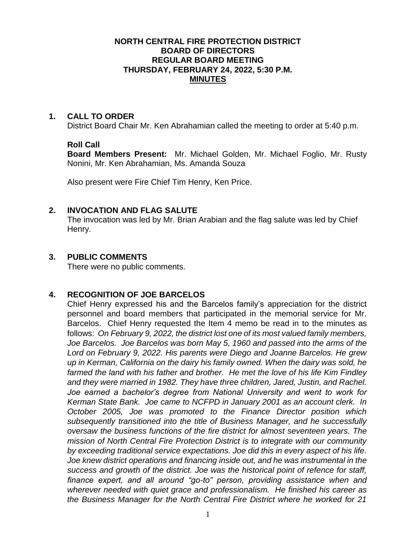#### **NORTH CENTRAL FIRE PROTECTION DISTRICT BOARD OF DIRECTORS REGULAR BOARD MEETING THURSDAY, FEBRUARY 24, 2022, 5:30 P.M. MINUTES**

#### **1. CALL TO ORDER**

District Board Chair Mr. Ken Abrahamian called the meeting to order at 5:40 p.m.

## **Roll Call**

**Board Members Present:** Mr. Michael Golden, Mr. Michael Foglio, Mr. Rusty Nonini, Mr. Ken Abrahamian, Ms. Amanda Souza

Also present were Fire Chief Tim Henry, Ken Price.

## **2. INVOCATION AND FLAG SALUTE**

The invocation was led by Mr. Brian Arabian and the flag salute was led by Chief Henry.

# **3. PUBLIC COMMENTS**

There were no public comments.

# **4. RECOGNITION OF JOE BARCELOS**

Chief Henry expressed his and the Barcelos family's appreciation for the district personnel and board members that participated in the memorial service for Mr. Barcelos. Chief Henry requested the Item 4 memo be read in to the minutes as follows: *On February 9, 2022, the district lost one of its most valued family members, Joe Barcelos. Joe Barcelos was born May 5, 1960 and passed into the arms of the Lord on February 9, 2022. His parents were Diego and Joanne Barcelos. He grew up in Kerman, California on the dairy his family owned. When the dairy was sold, he farmed the land with his father and brother. He met the love of his life Kim Findley and they were married in 1982. They have three children, Jared, Justin, and Rachel. Joe earned a bachelor's degree from National University and went to work for Kerman State Bank. Joe came to NCFPD in January 2001 as an account clerk. In October 2005, Joe was promoted to the Finance Director position which subsequently transitioned into the title of Business Manager, and he successfully oversaw the business functions of the fire district for almost seventeen years. The mission of North Central Fire Protection District is to integrate with our community by exceeding traditional service expectations. Joe did this in every aspect of his life. Joe knew district operations and financing inside out, and he was instrumental in the success and growth of the district. Joe was the historical point of refence for staff, finance expert, and all around "go-to" person, providing assistance when and wherever needed with quiet grace and professionalism. He finished his career as the Business Manager for the North Central Fire District where he worked for 21*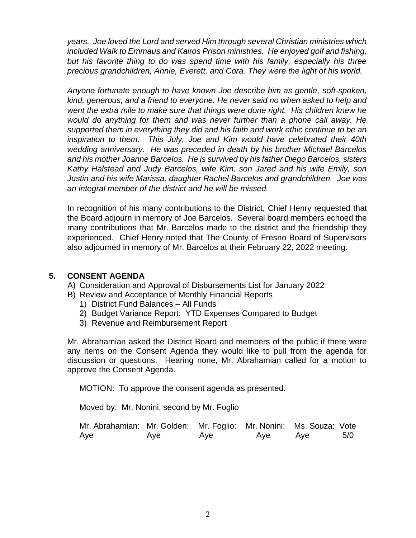*years. Joe loved the Lord and served Him through several Christian ministries which included Walk to Emmaus and Kairos Prison ministries. He enjoyed golf and fishing, but his favorite thing to do was spend time with his family, especially his three precious grandchildren, Annie, Everett, and Cora. They were the light of his world.*

*Anyone fortunate enough to have known Joe describe him as gentle, soft-spoken, kind, generous, and a friend to everyone. He never said no when asked to help and went the extra mile to make sure that things were done right. His children knew he would do anything for them and was never further than a phone call away. He supported them in everything they did and his faith and work ethic continue to be an inspiration to them. This July, Joe and Kim would have celebrated their 40th wedding anniversary. He was preceded in death by his brother Michael Barcelos and his mother Joanne Barcelos. He is survived by his father Diego Barcelos, sisters Kathy Halstead and Judy Barcelos, wife Kim, son Jared and his wife Emily, son Justin and his wife Marissa, daughter Rachel Barcelos and grandchildren. Joe was an integral member of the district and he will be missed.* 

In recognition of his many contributions to the District, Chief Henry requested that the Board adjourn in memory of Joe Barcelos. Several board members echoed the many contributions that Mr. Barcelos made to the district and the friendship they experienced. Chief Henry noted that The County of Fresno Board of Supervisors also adjourned in memory of Mr. Barcelos at their February 22, 2022 meeting.

# **5. CONSENT AGENDA**

- A) Consideration and Approval of Disbursements List for January 2022
- B) Review and Acceptance of Monthly Financial Reports
	- 1) District Fund Balances All Funds
	- 2) Budget Variance Report: YTD Expenses Compared to Budget
	- 3) Revenue and Reimbursement Report

Mr. Abrahamian asked the District Board and members of the public if there were any items on the Consent Agenda they would like to pull from the agenda for discussion or questions. Hearing none, Mr. Abrahamian called for a motion to approve the Consent Agenda.

MOTION: To approve the consent agenda as presented.

Moved by: Mr. Nonini, second by Mr. Foglio

| Mr. Abrahamian: Mr. Golden: Mr. Foglio: Mr. Nonini: Ms. Souza: Vote |     |     |     |     |     |
|---------------------------------------------------------------------|-----|-----|-----|-----|-----|
| Aye                                                                 | Aye | Aye | Aye | Ave | 5/0 |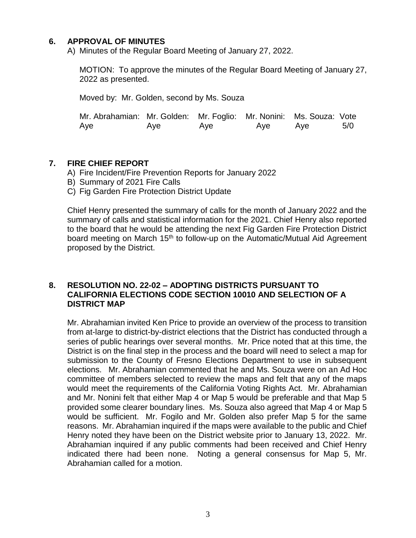## **6. APPROVAL OF MINUTES**

A) Minutes of the Regular Board Meeting of January 27, 2022.

MOTION: To approve the minutes of the Regular Board Meeting of January 27, 2022 as presented.

Moved by: Mr. Golden, second by Ms. Souza

| Mr. Abrahamian: Mr. Golden: Mr. Foglio: Mr. Nonini: Ms. Souza: Vote |     |     |     |     |     |
|---------------------------------------------------------------------|-----|-----|-----|-----|-----|
| Aye                                                                 | Aye | Aye | Aye | Aye | 5/0 |

## **7. FIRE CHIEF REPORT**

- A) Fire Incident/Fire Prevention Reports for January 2022
- B) Summary of 2021 Fire Calls
- C) Fig Garden Fire Protection District Update

Chief Henry presented the summary of calls for the month of January 2022 and the summary of calls and statistical information for the 2021. Chief Henry also reported to the board that he would be attending the next Fig Garden Fire Protection District board meeting on March 15<sup>th</sup> to follow-up on the Automatic/Mutual Aid Agreement proposed by the District.

#### **8. RESOLUTION NO. 22-02 – ADOPTING DISTRICTS PURSUANT TO CALIFORNIA ELECTIONS CODE SECTION 10010 AND SELECTION OF A DISTRICT MAP**

Mr. Abrahamian invited Ken Price to provide an overview of the process to transition from at-large to district-by-district elections that the District has conducted through a series of public hearings over several months. Mr. Price noted that at this time, the District is on the final step in the process and the board will need to select a map for submission to the County of Fresno Elections Department to use in subsequent elections. Mr. Abrahamian commented that he and Ms. Souza were on an Ad Hoc committee of members selected to review the maps and felt that any of the maps would meet the requirements of the California Voting Rights Act. Mr. Abrahamian and Mr. Nonini felt that either Map 4 or Map 5 would be preferable and that Map 5 provided some clearer boundary lines. Ms. Souza also agreed that Map 4 or Map 5 would be sufficient. Mr. Fogilo and Mr. Golden also prefer Map 5 for the same reasons. Mr. Abrahamian inquired if the maps were available to the public and Chief Henry noted they have been on the District website prior to January 13, 2022. Mr. Abrahamian inquired if any public comments had been received and Chief Henry indicated there had been none. Noting a general consensus for Map 5, Mr. Abrahamian called for a motion.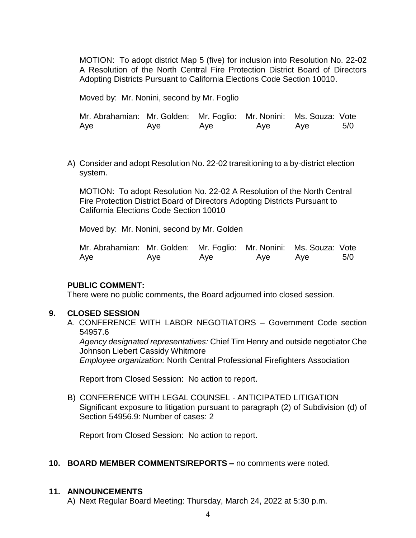MOTION: To adopt district Map 5 (five) for inclusion into Resolution No. 22-02 A Resolution of the North Central Fire Protection District Board of Directors Adopting Districts Pursuant to California Elections Code Section 10010.

Moved by: Mr. Nonini, second by Mr. Foglio

Mr. Abrahamian: Mr. Golden: Mr. Foglio: Mr. Nonini: Ms. Souza: Vote Aye Aye Aye Aye Aye 5/0

A) Consider and adopt Resolution No. 22-02 transitioning to a by-district election system.

MOTION: To adopt Resolution No. 22-02 A Resolution of the North Central Fire Protection District Board of Directors Adopting Districts Pursuant to California Elections Code Section 10010

Moved by: Mr. Nonini, second by Mr. Golden

| Mr. Abrahamian: Mr. Golden: Mr. Foglio: Mr. Nonini: Ms. Souza: Vote |     |     |     |     |     |
|---------------------------------------------------------------------|-----|-----|-----|-----|-----|
| Aye                                                                 | Aye | Aye | Aye | Ave | 5/0 |

## **PUBLIC COMMENT:**

There were no public comments, the Board adjourned into closed session.

## **9. CLOSED SESSION**

A. CONFERENCE WITH LABOR NEGOTIATORS – Government Code section 54957.6

*Agency designated representatives:* Chief Tim Henry and outside negotiator Che Johnson Liebert Cassidy Whitmore

*Employee organization:* North Central Professional Firefighters Association

Report from Closed Session: No action to report.

B) CONFERENCE WITH LEGAL COUNSEL - ANTICIPATED LITIGATION Significant exposure to litigation pursuant to paragraph (2) of Subdivision (d) of Section 54956.9: Number of cases: 2

Report from Closed Session: No action to report.

## **10. BOARD MEMBER COMMENTS/REPORTS –** no comments were noted.

# **11. ANNOUNCEMENTS**

A) Next Regular Board Meeting: Thursday, March 24, 2022 at 5:30 p.m.